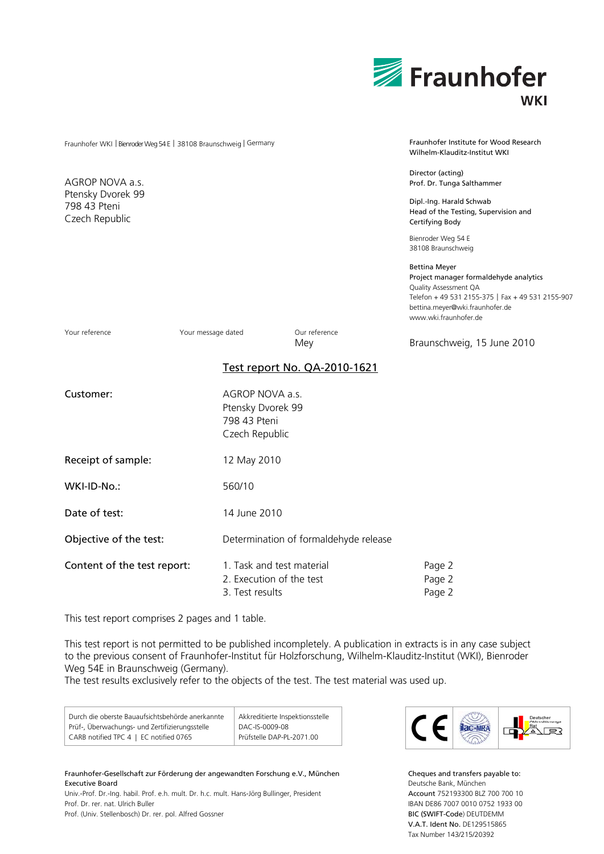|                                                                    |                                                                        |                                       | Fraunhofer<br><b>WKI</b>                                                                                                                                                                          |
|--------------------------------------------------------------------|------------------------------------------------------------------------|---------------------------------------|---------------------------------------------------------------------------------------------------------------------------------------------------------------------------------------------------|
| Fraunhofer WKI   Bienroder Weg 54 E   38108 Braunschweig   Germany |                                                                        |                                       | Fraunhofer Institute for Wood Research<br>Wilhelm-Klauditz-Institut WKI                                                                                                                           |
| AGROP NOVA a.s.<br>Ptensky Dvorek 99<br>798 43 Pteni               |                                                                        |                                       | Director (acting)<br>Prof. Dr. Tunga Salthammer<br>Dipl.-Ing. Harald Schwab<br>Head of the Testing, Supervision and                                                                               |
| Czech Republic                                                     |                                                                        |                                       | Certifying Body<br>Bienroder Weg 54 E<br>38108 Braunschweig                                                                                                                                       |
|                                                                    |                                                                        |                                       | Bettina Meyer<br>Project manager formaldehyde analytics<br>Quality Assessment QA<br>Telefon + 49 531 2155-375   Fax + 49 531 2155-907<br>bettina.meyer@wki.fraunhofer.de<br>www.wki.fraunhofer.de |
| Your reference                                                     | Your message dated                                                     | Our reference<br>Mey                  | Braunschweig, 15 June 2010                                                                                                                                                                        |
|                                                                    |                                                                        | Test report No. QA-2010-1621          |                                                                                                                                                                                                   |
| Customer:                                                          | AGROP NOVA a.s.<br>Ptensky Dvorek 99<br>798 43 Pteni<br>Czech Republic |                                       |                                                                                                                                                                                                   |
| Receipt of sample:                                                 | 12 May 2010                                                            |                                       |                                                                                                                                                                                                   |
| WKI-ID-No.:                                                        | 560/10                                                                 |                                       |                                                                                                                                                                                                   |
| Date of test:                                                      | 14 June 2010                                                           |                                       |                                                                                                                                                                                                   |
| Objective of the test:                                             |                                                                        | Determination of formaldehyde release |                                                                                                                                                                                                   |
| Content of the test report:                                        | 2. Execution of the test                                               | 1. Task and test material             | Page 2<br>Page 2                                                                                                                                                                                  |

3. Test results Page 2

This test report comprises 2 pages and 1 table.

This test report is not permitted to be published incompletely. A publication in extracts is in any case subject to the previous consent of Fraunhofer-Institut für Holzforschung, Wilhelm-Klauditz-Institut (WKI), Bienroder Weg 54E in Braunschweig (Germany).

The test results exclusively refer to the objects of the test. The test material was used up.

| Durch die oberste Bauaufsichtsbehörde anerkannte | Akkreditierte Inspektionsstelle |
|--------------------------------------------------|---------------------------------|
| Prüf-, Überwachungs- und Zertifizierungsstelle   | DAC-IS-0009-08                  |
| CARB notified TPC 4   EC notified 0765           | Prüfstelle DAP-PL-2071.00       |

Fraunhofer-Gesellschaft zur Förderung der angewandten Forschung e.V., München Executive Board Univ.-Prof. Dr.-Ing. habil. Prof. e.h. mult. Dr. h.c. mult. Hans-Jörg Bullinger, President Prof. Dr. rer. nat. Ulrich Buller

Prof. (Univ. Stellenbosch) Dr. rer. pol. Alfred Gossner



Cheques and transfers payable to: Deutsche Bank, München Account 752193300 BLZ 700 700 10 IBAN DE86 7007 0010 0752 1933 00 BIC (SWIFT-Code) DEUTDEMM V.A.T. Ident No. DE129515865 Tax Number 143/215/20392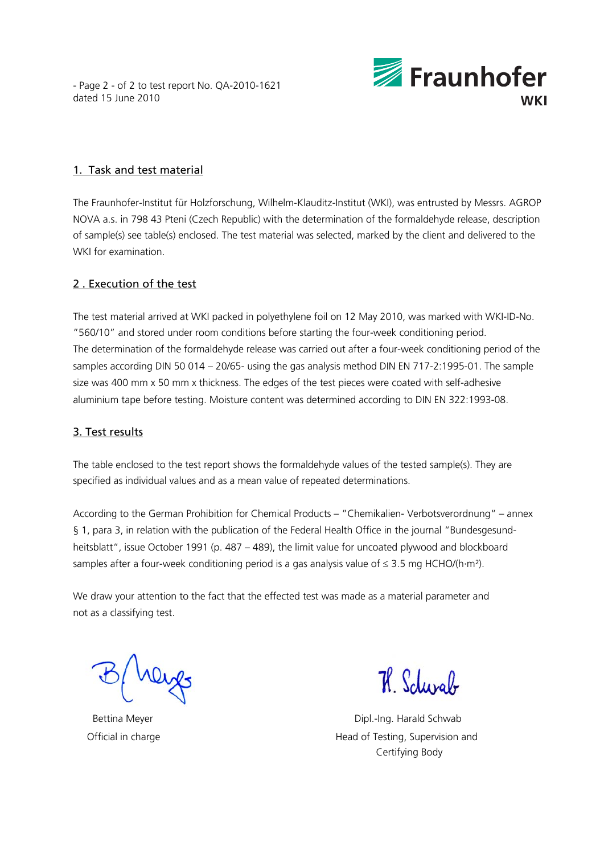- Page 2 - of 2 to test report No. QA-2010-1621 dated 15 June 2010



## 1. Task and test material

The Fraunhofer-Institut für Holzforschung, Wilhelm-Klauditz-Institut (WKI), was entrusted by Messrs. AGROP NOVA a.s. in 798 43 Pteni (Czech Republic) with the determination of the formaldehyde release, description of sample(s) see table(s) enclosed. The test material was selected, marked by the client and delivered to the WKI for examination.

# 2 . Execution of the test

The test material arrived at WKI packed in polyethylene foil on 12 May 2010, was marked with WKI-ID-No. "560/10" and stored under room conditions before starting the four-week conditioning period. The determination of the formaldehyde release was carried out after a four-week conditioning period of the samples according DIN 50 014 – 20/65- using the gas analysis method DIN EN 717-2:1995-01. The sample size was 400 mm x 50 mm x thickness. The edges of the test pieces were coated with self-adhesive aluminium tape before testing. Moisture content was determined according to DIN EN 322:1993-08.

## 3. Test results

The table enclosed to the test report shows the formaldehyde values of the tested sample(s). They are specified as individual values and as a mean value of repeated determinations.

According to the German Prohibition for Chemical Products – "Chemikalien- Verbotsverordnung" – annex § 1, para 3, in relation with the publication of the Federal Health Office in the journal "Bundesgesundheitsblatt", issue October 1991 (p. 487 – 489), the limit value for uncoated plywood and blockboard samples after a four-week conditioning period is a gas analysis value of  $\leq$  3.5 mg HCHO/(h·m<sup>2</sup>).

We draw your attention to the fact that the effected test was made as a material parameter and not as a classifying test.

7 Schwab

Bettina Meyer **Dipleman Accord Contract Contract Contract Contract Contract Contract Contract Contract Contract Contract Contract Contract Contract Contract Contract Contract Contract Contract Contract Contract Contract Co** Official in charge **Head of Testing, Supervision and** Certifying Body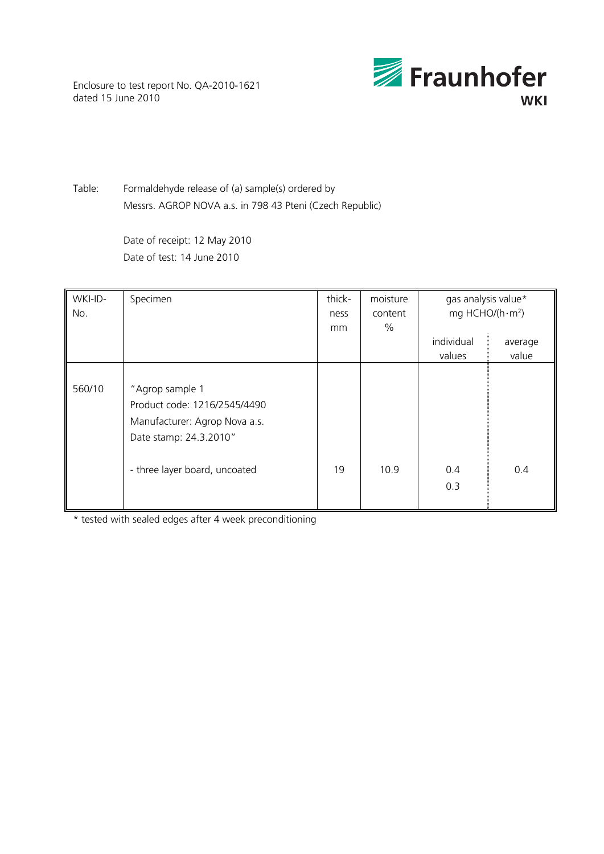Enclosure to test report No. QA-2010-1621 dated 15 June 2010



Table: Formaldehyde release of (a) sample(s) ordered by Messrs. AGROP NOVA a.s. in 798 43 Pteni (Czech Republic)

> Date of receipt: 12 May 2010 Date of test: 14 June 2010

| WKI-ID-<br>No. | Specimen                                                                                                                                    | thick-<br>ness<br>mm | moisture<br>content<br>% | gas analysis value*<br>mg HCHO/( $h \cdot m^2$ ) |                  |
|----------------|---------------------------------------------------------------------------------------------------------------------------------------------|----------------------|--------------------------|--------------------------------------------------|------------------|
|                |                                                                                                                                             |                      |                          | individual<br>values                             | average<br>value |
| 560/10         | "Agrop sample 1<br>Product code: 1216/2545/4490<br>Manufacturer: Agrop Nova a.s.<br>Date stamp: 24.3.2010"<br>- three layer board, uncoated | 19                   | 10.9                     | 0.4<br>0.3                                       | 0.4              |

\* tested with sealed edges after 4 week preconditioning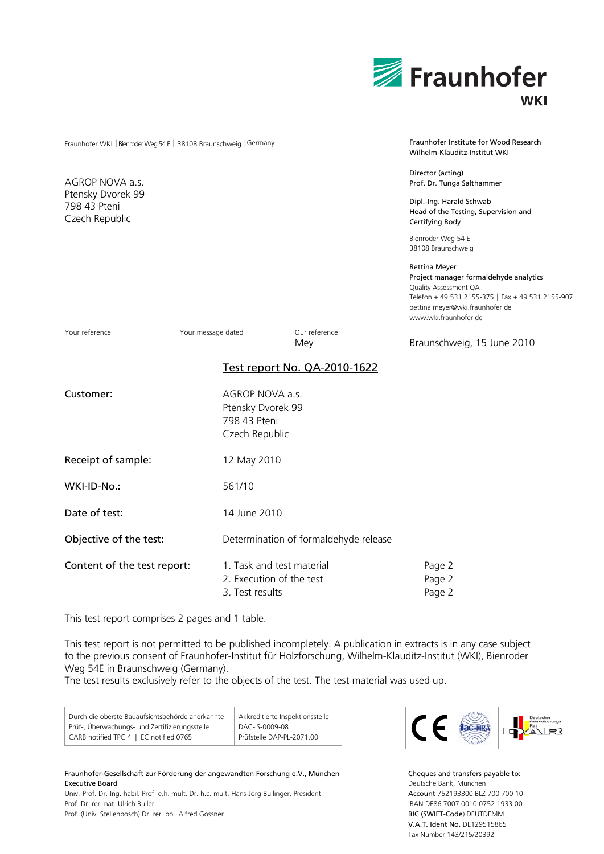|                                                                    |                                                                        |                                       | Fraunhofer<br><b>WKI</b>                                                                                                                                                                          |
|--------------------------------------------------------------------|------------------------------------------------------------------------|---------------------------------------|---------------------------------------------------------------------------------------------------------------------------------------------------------------------------------------------------|
| Fraunhofer WKI   Bienroder Weg 54 E   38108 Braunschweig   Germany |                                                                        |                                       | Fraunhofer Institute for Wood Research<br>Wilhelm-Klauditz-Institut WKI                                                                                                                           |
| AGROP NOVA a.s.                                                    |                                                                        |                                       | Director (acting)<br>Prof. Dr. Tunga Salthammer                                                                                                                                                   |
| Ptensky Dvorek 99<br>798 43 Pteni<br>Czech Republic                |                                                                        |                                       | Dipl.-Ing. Harald Schwab<br>Head of the Testing, Supervision and<br>Certifying Body                                                                                                               |
|                                                                    |                                                                        |                                       | Bienroder Weg 54 E<br>38108 Braunschweig                                                                                                                                                          |
|                                                                    |                                                                        |                                       | Bettina Meyer<br>Project manager formaldehyde analytics<br>Quality Assessment QA<br>Telefon + 49 531 2155-375   Fax + 49 531 2155-907<br>bettina.meyer@wki.fraunhofer.de<br>www.wki.fraunhofer.de |
| Your reference<br>Your message dated                               |                                                                        | Our reference<br>Mey                  | Braunschweig, 15 June 2010                                                                                                                                                                        |
|                                                                    |                                                                        | Test report No. QA-2010-1622          |                                                                                                                                                                                                   |
| Customer:                                                          | AGROP NOVA a.s.<br>Ptensky Dvorek 99<br>798 43 Pteni<br>Czech Republic |                                       |                                                                                                                                                                                                   |
| Receipt of sample:                                                 | 12 May 2010                                                            |                                       |                                                                                                                                                                                                   |
| WKI-ID-No.:                                                        | 561/10                                                                 |                                       |                                                                                                                                                                                                   |
| Date of test:                                                      | 14 June 2010                                                           |                                       |                                                                                                                                                                                                   |
| Objective of the test:                                             |                                                                        | Determination of formaldehyde release |                                                                                                                                                                                                   |
| Content of the test report:                                        | 1. Task and test material<br>2. Execution of the test                  |                                       | Page 2<br>Page 2                                                                                                                                                                                  |

3. Test results Page 2

This test report comprises 2 pages and 1 table.

This test report is not permitted to be published incompletely. A publication in extracts is in any case subject to the previous consent of Fraunhofer-Institut für Holzforschung, Wilhelm-Klauditz-Institut (WKI), Bienroder Weg 54E in Braunschweig (Germany).

The test results exclusively refer to the objects of the test. The test material was used up.

| Durch die oberste Bauaufsichtsbehörde anerkannte | Akkreditierte Inspektionsstelle |
|--------------------------------------------------|---------------------------------|
| Prüf-, Überwachungs- und Zertifizierungsstelle   | DAC-IS-0009-08                  |
| CARB notified TPC 4   EC notified 0765           | Prüfstelle DAP-PL-2071.00       |

Fraunhofer-Gesellschaft zur Förderung der angewandten Forschung e.V., München Executive Board Univ.-Prof. Dr.-Ing. habil. Prof. e.h. mult. Dr. h.c. mult. Hans-Jörg Bullinger, President Prof. Dr. rer. nat. Ulrich Buller

Prof. (Univ. Stellenbosch) Dr. rer. pol. Alfred Gossner



Cheques and transfers payable to: Deutsche Bank, München Account 752193300 BLZ 700 700 10 IBAN DE86 7007 0010 0752 1933 00 BIC (SWIFT-Code) DEUTDEMM V.A.T. Ident No. DE129515865 Tax Number 143/215/20392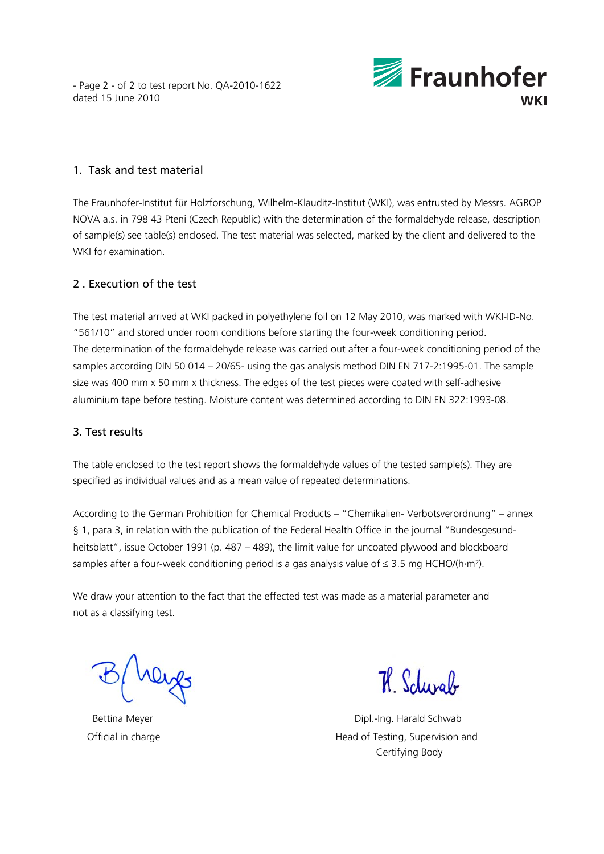- Page 2 - of 2 to test report No. QA-2010-1622 dated 15 June 2010



## 1. Task and test material

The Fraunhofer-Institut für Holzforschung, Wilhelm-Klauditz-Institut (WKI), was entrusted by Messrs. AGROP NOVA a.s. in 798 43 Pteni (Czech Republic) with the determination of the formaldehyde release, description of sample(s) see table(s) enclosed. The test material was selected, marked by the client and delivered to the WKI for examination.

# 2 . Execution of the test

The test material arrived at WKI packed in polyethylene foil on 12 May 2010, was marked with WKI-ID-No. "561/10" and stored under room conditions before starting the four-week conditioning period. The determination of the formaldehyde release was carried out after a four-week conditioning period of the samples according DIN 50 014 – 20/65- using the gas analysis method DIN EN 717-2:1995-01. The sample size was 400 mm x 50 mm x thickness. The edges of the test pieces were coated with self-adhesive aluminium tape before testing. Moisture content was determined according to DIN EN 322:1993-08.

## 3. Test results

The table enclosed to the test report shows the formaldehyde values of the tested sample(s). They are specified as individual values and as a mean value of repeated determinations.

According to the German Prohibition for Chemical Products – "Chemikalien- Verbotsverordnung" – annex § 1, para 3, in relation with the publication of the Federal Health Office in the journal "Bundesgesundheitsblatt", issue October 1991 (p. 487 – 489), the limit value for uncoated plywood and blockboard samples after a four-week conditioning period is a gas analysis value of  $\leq$  3.5 mg HCHO/(h·m<sup>2</sup>).

We draw your attention to the fact that the effected test was made as a material parameter and not as a classifying test.

7 Schwab

Bettina Meyer **Dipleman Accord Contract Contract Contract Contract Contract Contract Contract Contract Contract Contract Contract Contract Contract Contract Contract Contract Contract Contract Contract Contract Contract Co** Official in charge **Head of Testing, Supervision and** Certifying Body